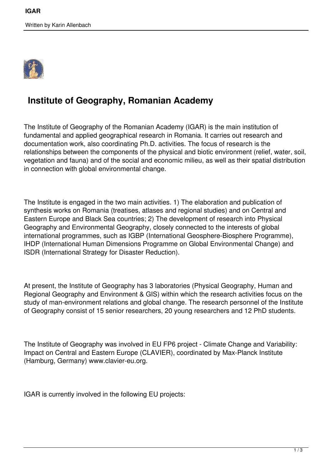Written by Karin Allenbach



## **Institute of Geography, Romanian Academy**

The Institute of Geography of the Romanian Academy (IGAR) is the main institution of fundamental and applied geographical research in Romania. It carries out research and documentation work, also coordinating Ph.D. activities. The focus of research is the relationships between the components of the physical and biotic environment (relief, water, soil, vegetation and fauna) and of the social and economic milieu, as well as their spatial distribution in connection with global environmental change.

The Institute is engaged in the two main activities. 1) The elaboration and publication of synthesis works on Romania (treatises, atlases and regional studies) and on Central and Eastern Europe and Black Sea countries; 2) The development of research into Physical Geography and Environmental Geography, closely connected to the interests of global international programmes, such as IGBP (International Geosphere-Biosphere Programme), IHDP (International Human Dimensions Programme on Global Environmental Change) and ISDR (International Strategy for Disaster Reduction).

At present, the Institute of Geography has 3 laboratories (Physical Geography, Human and Regional Geography and Environment & GIS) within which the research activities focus on the study of man-environment relations and global change. The research personnel of the Institute of Geography consist of 15 senior researchers, 20 young researchers and 12 PhD students.

The Institute of Geography was involved in EU FP6 project - Climate Change and Variability: Impact on Central and Eastern Europe (CLAVIER), coordinated by Max-Planck Institute (Hamburg, Germany) www.clavier-eu.org.

IGAR is currently involved in the following EU projects: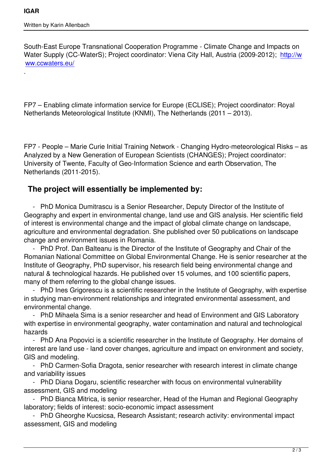.

South-East Europe Transnational Cooperation Programme - Climate Change and Impacts on Water Supply (CC-WaterS); Project coordinator: Viena City Hall, Austria (2009-2012); http://w ww.ccwaters.eu/

FP7 – Enabling climate information service for Europe (ECLISE); Project coordinator: Royal Netherlands Meteorological Institute (KNMI), The Netherlands (2011 – 2013).

FP7 - People – Marie Curie Initial Training Network - Changing Hydro-meteorological Risks – as Analyzed by a New Generation of European Scientists (CHANGES); Project coordinator: University of Twente, Faculty of Geo-Information Science and earth Observation, The Netherlands (2011-2015).

## **The project will essentially be implemented by:**

 - PhD Monica Dumitrascu is a Senior Researcher, Deputy Director of the Institute of Geography and expert in environmental change, land use and GIS analysis. Her scientific field of interest is environmental change and the impact of global climate change on landscape, agriculture and environmental degradation. She published over 50 publications on landscape change and environment issues in Romania.

 - PhD Prof. Dan Balteanu is the Director of the Institute of Geography and Chair of the Romanian National Committee on Global Environmental Change. He is senior researcher at the Institute of Geography, PhD supervisor, his research field being environmental change and natural & technological hazards. He published over 15 volumes, and 100 scientific papers, many of them referring to the global change issues.

 - PhD Ines Grigorescu is a scientific researcher in the Institute of Geography, with expertise in studying man-environment relationships and integrated environmental assessment, and environmental change.

 - PhD Mihaela Sima is a senior researcher and head of Environment and GIS Laboratory with expertise in environmental geography, water contamination and natural and technological hazards

 - PhD Ana Popovici is a scientific researcher in the Institute of Geography. Her domains of interest are land use - land cover changes, agriculture and impact on environment and society, GIS and modeling.

 - PhD Carmen-Sofia Dragota, senior researcher with research interest in climate change and variability issues

 - PhD Diana Dogaru, scientific researcher with focus on environmental vulnerability assessment, GIS and modeling

 - PhD Bianca Mitrica, is senior researcher, Head of the Human and Regional Geography laboratory; fields of interest: socio-economic impact assessment

 - PhD Gheorghe Kucsicsa, Research Assistant; research activity: environmental impact assessment, GIS and modeling